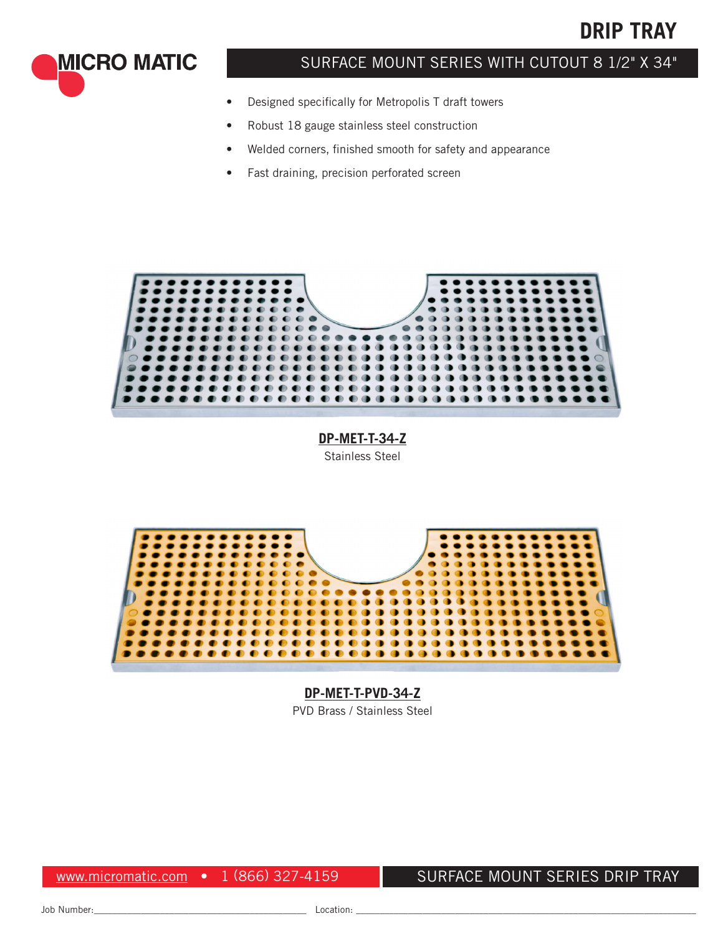

**MICRO MATIC** 

### SURFACE MOUNT SERIES WITH CUTOUT 8 1/2" X 34"

- Designed specifically for Metropolis T draft towers
- Robust 18 gauge stainless steel construction
- Welded corners, finished smooth for safety and appearance
- Fast draining, precision perforated screen



**DP-MET-T-34-Z** Stainless Steel



**DP-MET-T-PVD-34-Z** PVD Brass / Stainless Steel

www.micromatic.com • 1 (866) 327-4159

#### SURFACE MOUNT SERIES DRIP TRAY